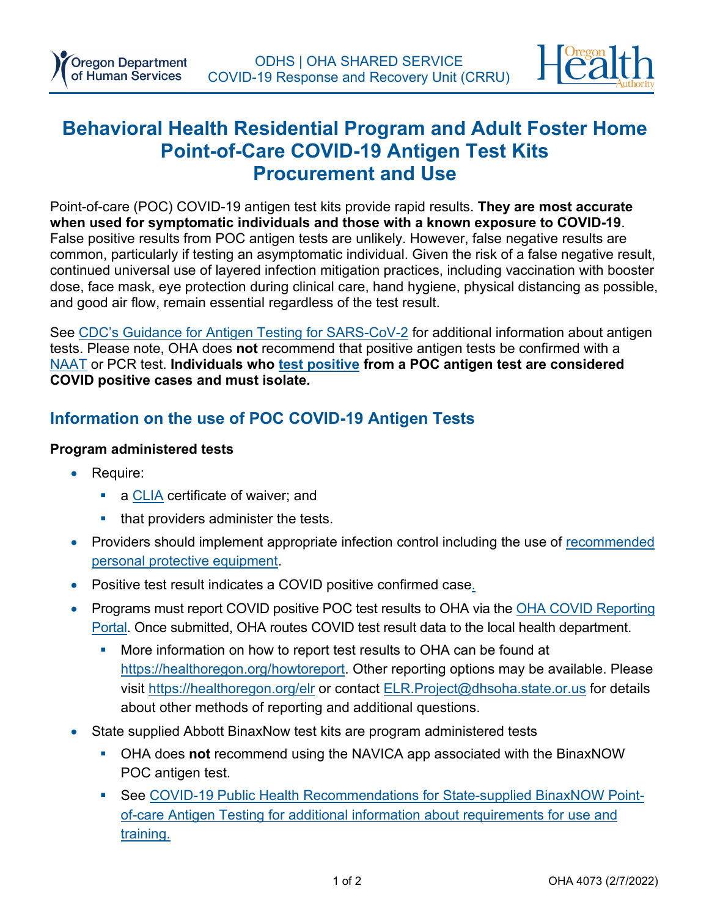

# **Behavioral Health Residential Program and Adult Foster Home Point-of-Care COVID-19 Antigen Test Kits Procurement and Use**

Point-of-care (POC) COVID-19 antigen test kits provide rapid results. **They are most accurate when used for symptomatic individuals and those with a known exposure to COVID-19**. False positive results from POC antigen tests are unlikely. However, false negative results are common, particularly if testing an asymptomatic individual. Given the risk of a false negative result, continued universal use of layered infection mitigation practices, including vaccination with booster dose, face mask, eye protection during clinical care, hand hygiene, physical distancing as possible, and good air flow, remain essential regardless of the test result.

See [CDC's Guidance for Antigen](https://www.cdc.gov/coronavirus/2019-ncov/lab/resources/antigen-tests-guidelines.html) Testing for SARS-CoV-2 for additional information about antigen tests. Please note, OHA does **not** recommend that positive antigen tests be confirmed with a [NAAT](https://www.cdc.gov/coronavirus/2019-ncov/lab/naats.html) or PCR test. **Individuals who [test positive](https://govstatus.egov.com/or-oha-covid-19-positive-test?utm_medium=email&utm_source=govdelivery) from a POC antigen test are considered COVID positive cases and must isolate.**

## **Information on the use of POC COVID-19 Antigen Tests**

#### **Program administered tests**

- Require:
	- a [CLIA](https://www.oregon.gov/oha/PH/LABORATORYSERVICES/CLINICALLABORATORYREGULATION/Pages/index.aspx) certificate of waiver; and
	- that providers administer the tests.
- Providers should implement appropriate infection control including the use of recommended [personal protective equipment.](https://sharedsystems.dhsoha.state.or.us/DHSForms/Served/le2288J_R.pdf)
- Positive test result indicates a COVID positive confirmed case.
- Programs must report COVID positive POC test results to OHA via the OHA COVID Reporting [Portal.](https://epiweb.oha.state.or.us/fmi/webd/Memento%20Morbi?homeurl=http://healthoregon.org/howtoreport) Once submitted, OHA routes COVID test result data to the local health department.
	- More information on how to report test results to OHA can be found at [https://healthoregon.org/howtoreport.](https://www.oregon.gov/oha/ph/DiseasesConditions/CommunicableDisease/ReportingCommunicableDisease/Pages/counties.aspx) Other reporting options may be available. Please visit [https://healthoregon.org/elr](https://www.oregon.gov/oha/PH/DISEASESCONDITIONS/COMMUNICABLEDISEASE/REPORTINGCOMMUNICABLEDISEASE/ELECTRONICLABREPORTING/Pages/index.aspx) or contact [ELR.Project@dhsoha.state.or.us](mailto:ELR.Project@dhsoha.state.or.us) for details about other methods of reporting and additional questions.
- State supplied Abbott BinaxNow test kits are program administered tests
	- OHA does **not** recommend using the NAVICA app associated with the BinaxNOW POC antigen test.
	- See [COVID-19 Public Health Recommendations for State-supplied BinaxNOW Point](https://sharedsystems.dhsoha.state.or.us/DHSForms/Served/le3249A_R.pdf)[of-care Antigen Testing](https://sharedsystems.dhsoha.state.or.us/DHSForms/Served/le3249A_R.pdf) for additional information about requirements for use and training.